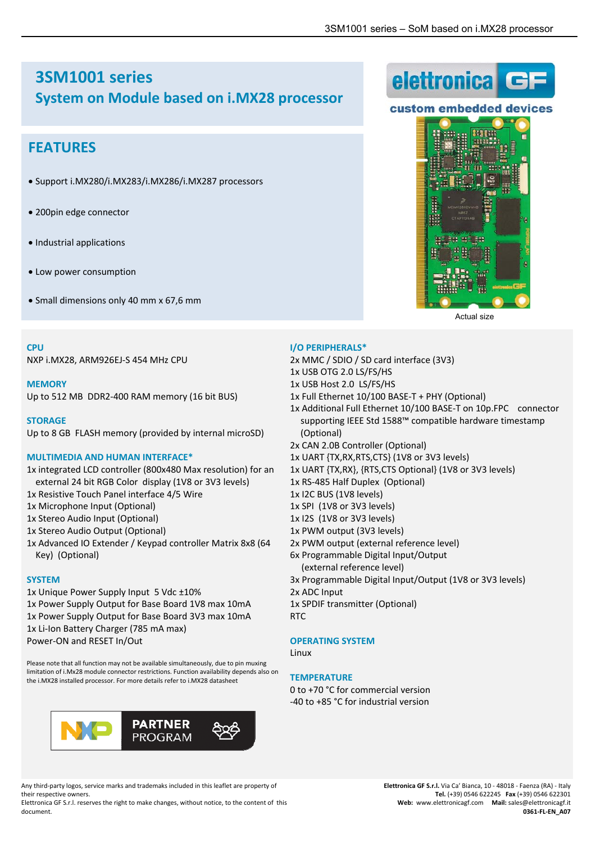elettronica

# **3SM1001 series System on Module based on i.MX28 processor**

# **FEATURES**

- Support i.MX280/i.MX283/i.MX286/i.MX287 processors
- 200pin edge connector
- Industrial applications
- Low power consumption
- Small dimensions only 40 mm x 67,6 mm

#### **CPU**

NXP i.MX28, ARM926EJ‐S 454 MHz CPU

#### **MEMORY**

Up to 512 MB DDR2‐400 RAM memory (16 bit BUS)

#### **STORAGE**

Up to 8 GB FLASH memory (provided by internal microSD)

## **MULTIMEDIA AND HUMAN INTERFACE\***

- 1x integrated LCD controller (800x480 Max resolution) for an external 24 bit RGB Color display (1V8 or 3V3 levels) 1x Resistive Touch Panel interface 4/5 Wire
- 1x Microphone Input (Optional)
- 1x Stereo Audio Input (Optional)
- 1x Stereo Audio Output (Optional)
- 1x Advanced IO Extender / Keypad controller Matrix 8x8 (64 Key) (Optional)

## **SYSTEM**

1x Unique Power Supply Input 5 Vdc ±10% 1x Power Supply Output for Base Board 1V8 max 10mA 1x Power Supply Output for Base Board 3V3 max 10mA 1x Li-Ion Battery Charger (785 mA max) Power‐ON and RESET In/Out

Please note that all function may not be available simultaneously, due to pin muxing limitation of i.Mx28 module connector restrictions. Function availability depends also on the i.MX28 installed processor. For more details refer to i.MX28 datasheet



Any third‐party logos, service marks and trademaks included in this leaflet are property of their respective owners.

Elettronica GF S.r.l. reserves the right to make changes, without notice, to the content of this document.





- 2x MMC / SDIO / SD card interface (3V3)
- 1x USB OTG 2.0 LS/FS/HS
- 1x USB Host 2.0 LS/FS/HS
- 1x Full Ethernet 10/100 BASE‐T + PHY (Optional)
- 1x Additional Full Ethernet 10/100 BASE‐T on 10p.FPC connector supporting IEEE Std 1588™ compatible hardware timestamp (Optional)
- 2x CAN 2.0B Controller (Optional)
- 1x UART {TX,RX,RTS,CTS} (1V8 or 3V3 levels)
- 1x UART {TX,RX}, {RTS,CTS Optional} (1V8 or 3V3 levels)
- 1x RS‐485 Half Duplex (Optional)
- 1x I2C BUS (1V8 levels)
- 1x SPI (1V8 or 3V3 levels)
- 1x I2S (1V8 or 3V3 levels)
- 1x PWM output (3V3 levels)
- 2x PWM output (external reference level)
- 6x Programmable Digital Input/Output
	- (external reference level)
- 3x Programmable Digital Input/Output (1V8 or 3V3 levels)
- 2x ADC Input
- 1x SPDIF transmitter (Optional)

RTC

## **OPERATING SYSTEM**

Linux

#### **TEMPERATURE**

0 to +70 °C for commercial version ‐40 to +85 °C for industrial version



Actual size